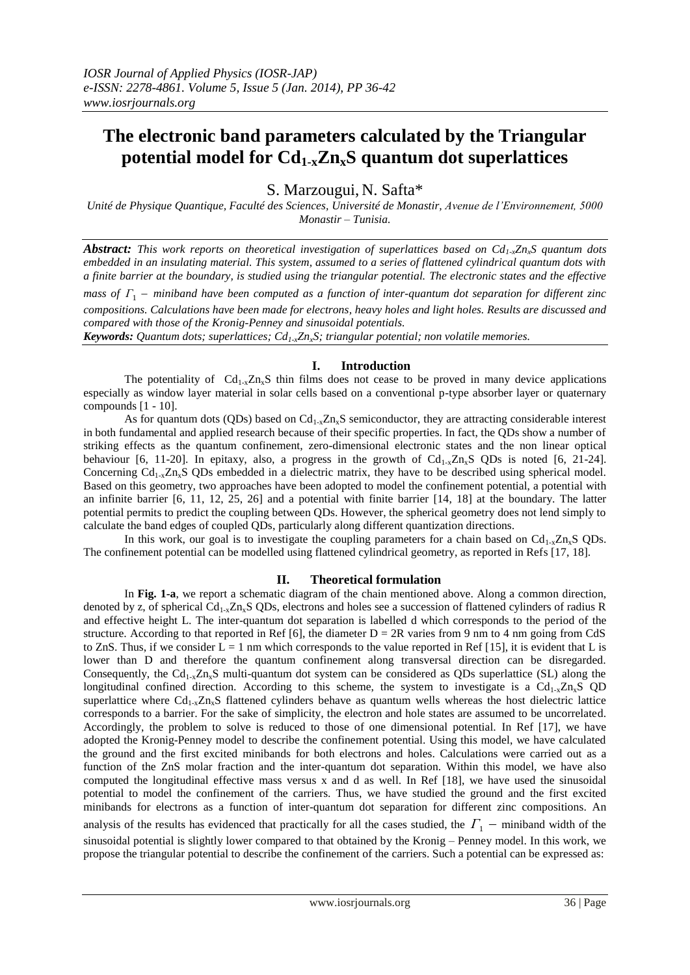# **The electronic band parameters calculated by the Triangular potential model for Cd1-xZnxS quantum dot superlattices**

S. Marzougui, N. Safta\*

*Unité de Physique Quantique, Faculté des Sciences, Université de Monastir, Avenue de l'Environnement, 5000 Monastir – Tunisia.*

*Abstract: This work reports on theoretical investigation of superlattices based on Cd1-xZnxS quantum dots embedded in an insulating material. This system, assumed to a series of flattened cylindrical quantum dots with a finite barrier at the boundary, is studied using the triangular potential. The electronic states and the effective* 

*mass of*  $\Gamma$ <sub>1</sub> – miniband have been computed as a function of inter-quantum dot separation for different zinc *compositions. Calculations have been made for electrons, heavy holes and light holes. Results are discussed and compared with those of the Kronig-Penney and sinusoidal potentials.*

*Keywords: Quantum dots; superlattices; Cd1-xZnxS; triangular potential; non volatile memories.*

# **I. Introduction**

The potentiality of  $Cd_{1-x}Zn_sS$  thin films does not cease to be proved in many device applications especially as window layer material in solar cells based on a conventional p-type absorber layer or quaternary compounds [1 - 10].

As for quantum dots (QDs) based on  $Cd_{1-x}Z_n$ , S semiconductor, they are attracting considerable interest in both fundamental and applied research because of their specific properties. In fact, the QDs show a number of striking effects as the quantum confinement, zero-dimensional electronic states and the non linear optical behaviour [6, 11-20]. In epitaxy, also, a progress in the growth of  $Cd_{1-x}Zn_xS$  QDs is noted [6, 21-24]. Concerning  $Cd_{1-x}Zn_xS$  QDs embedded in a dielectric matrix, they have to be described using spherical model. Based on this geometry, two approaches have been adopted to model the confinement potential, a potential with an infinite barrier  $[6, 11, 12, 25, 26]$  and a potential with finite barrier  $[14, 18]$  at the boundary. The latter potential permits to predict the coupling between QDs. However, the spherical geometry does not lend simply to calculate the band edges of coupled QDs, particularly along different quantization directions.

In this work, our goal is to investigate the coupling parameters for a chain based on  $Cd_{1-x}Z_{n_x}S$  QDs. The confinement potential can be modelled using flattened cylindrical geometry, as reported in Refs [17, 18].

## **II. Theoretical formulation**

In **Fig. 1-a**, we report a schematic diagram of the chain mentioned above. Along a common direction, denoted by z, of spherical  $Cd_{1-x}Zn_xS$  QDs, electrons and holes see a succession of flattened cylinders of radius R and effective height L. The inter-quantum dot separation is labelled d which corresponds to the period of the structure. According to that reported in Ref [6], the diameter  $D = 2R$  varies from 9 nm to 4 nm going from CdS to ZnS. Thus, if we consider  $L = 1$  nm which corresponds to the value reported in Ref [15], it is evident that L is lower than D and therefore the quantum confinement along transversal direction can be disregarded. Consequently, the  $Cd_{1-x}Z_{n_x}S$  multi-quantum dot system can be considered as QDs superlattice (SL) along the longitudinal confined direction. According to this scheme, the system to investigate is a  $Cd_{1-x}Zn_xS$  QD superlattice where  $Cd_{1-x}Z_{n_x}S$  flattened cylinders behave as quantum wells whereas the host dielectric lattice corresponds to a barrier. For the sake of simplicity, the electron and hole states are assumed to be uncorrelated. Accordingly, the problem to solve is reduced to those of one dimensional potential. In Ref [17], we have adopted the Kronig-Penney model to describe the confinement potential. Using this model, we have calculated the ground and the first excited minibands for both electrons and holes. Calculations were carried out as a function of the ZnS molar fraction and the inter-quantum dot separation. Within this model, we have also computed the longitudinal effective mass versus x and d as well. In Ref [18], we have used the sinusoidal potential to model the confinement of the carriers. Thus, we have studied the ground and the first excited minibands for electrons as a function of inter-quantum dot separation for different zinc compositions. An analysis of the results has evidenced that practically for all the cases studied, the  $\Gamma_1$  – miniband width of the sinusoidal potential is slightly lower compared to that obtained by the Kronig – Penney model. In this work, we propose the triangular potential to describe the confinement of the carriers. Such a potential can be expressed as: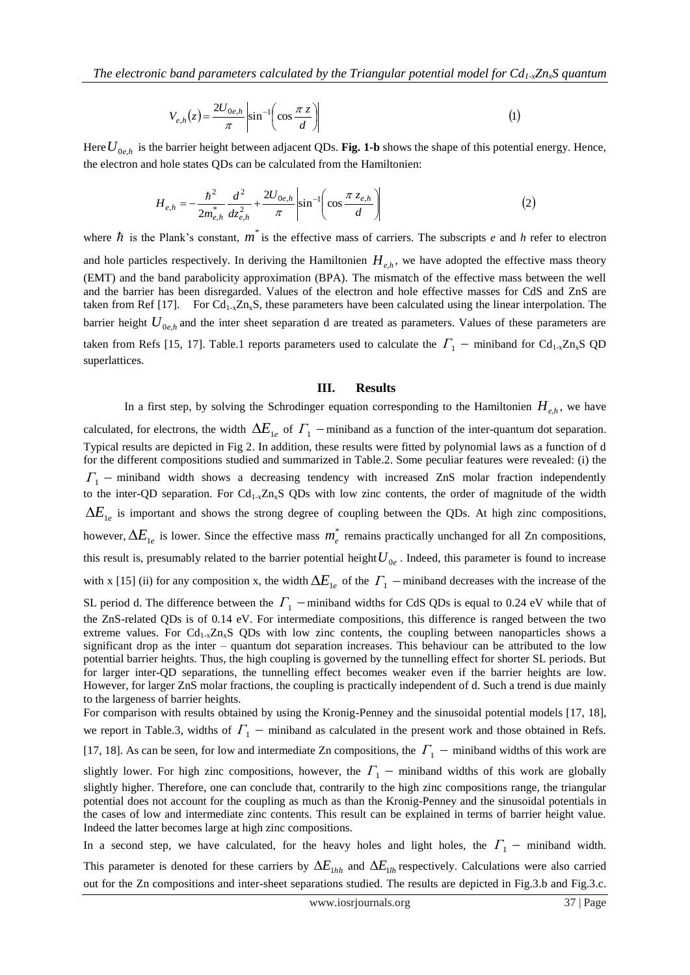$$
V_{e,h}(z) = \frac{2U_{0e,h}}{\pi} \left| \sin^{-1} \left( \cos \frac{\pi z}{d} \right) \right| \tag{1}
$$

Here  $U_{0e,h}$  is the barrier height between adjacent QDs. **Fig. 1-b** shows the shape of this potential energy. Hence, the electron and hole states QDs can be calculated from the Hamiltonien:

$$
H_{e,h} = -\frac{\hbar^2}{2m_{e,h}^*} \frac{d^2}{dz_{e,h}^2} + \frac{2U_{0e,h}}{\pi} \left| \sin^{-1} \left( \cos \frac{\pi z_{e,h}}{d} \right) \right| \tag{2}
$$

where  $\hbar$  is the Plank's constant,  $m^*$  is the effective mass of carriers. The subscripts *e* and *h* refer to electron and hole particles respectively. In deriving the Hamiltonien  $H_{e,h}$ , we have adopted the effective mass theory (EMT) and the band parabolicity approximation (BPA). The mismatch of the effective mass between the well and the barrier has been disregarded. Values of the electron and hole effective masses for CdS and ZnS are taken from Ref [17]. For  $Cd_{1-x}Zn_xS$ , these parameters have been calculated using the linear interpolation. The

barrier height  $U_{0e,h}$  and the inter sheet separation d are treated as parameters. Values of these parameters are taken from Refs [15, 17]. Table.1 reports parameters used to calculate the  $\Gamma_1$  – miniband for Cd<sub>1-x</sub>Zn<sub>x</sub>S QD superlattices.

#### **III. Results**

In a first step, by solving the Schrodinger equation corresponding to the Hamiltonien  $H_{e,h}$ , we have calculated, for electrons, the width  $\Delta E_{1e}$  of  $\Gamma_1$  – miniband as a function of the inter-quantum dot separation. Typical results are depicted in Fig 2. In addition, these results were fitted by polynomial laws as a function of d for the different compositions studied and summarized in Table.2. Some peculiar features were revealed: (i) the *Γ*<sup>1</sup> miniband width shows a decreasing tendency with increased ZnS molar fraction independently to the inter-QD separation. For  $Cd_{1-x}Zn_xS$  QDs with low zinc contents, the order of magnitude of the width  $\Delta E_{1e}$  is important and shows the strong degree of coupling between the QDs. At high zinc compositions, however,  $\Delta E_{1e}$  is lower. Since the effective mass  $m_e^*$  remains practically unchanged for all Zn compositions, this result is, presumably related to the barrier potential height  $U_{0e}$ . Indeed, this parameter is found to increase with x [15] (ii) for any composition x, the width  $\Delta E_{1e}$  of the  $\Gamma_1$  – miniband decreases with the increase of the SL period d. The difference between the  $\Gamma_1$  – miniband widths for CdS QDs is equal to 0.24 eV while that of the ZnS-related QDs is of 0.14 eV. For intermediate compositions, this difference is ranged between the two extreme values. For  $Cd_{1-x}Zn_xS$  QDs with low zinc contents, the coupling between nanoparticles shows a significant drop as the inter – quantum dot separation increases. This behaviour can be attributed to the low potential barrier heights. Thus, the high coupling is governed by the tunnelling effect for shorter SL periods. But for larger inter-QD separations, the tunnelling effect becomes weaker even if the barrier heights are low. However, for larger ZnS molar fractions, the coupling is practically independent of d. Such a trend is due mainly to the largeness of barrier heights. For comparison with results obtained by using the Kronig-Penney and the sinusoidal potential models [17, 18], we report in Table.3, widths of  $\Gamma_1$  – miniband as calculated in the present work and those obtained in Refs. [17, 18]. As can be seen, for low and intermediate Zn compositions, the  $\Gamma_1$  – miniband widths of this work are slightly lower. For high zinc compositions, however, the  $\Gamma_1$  – miniband widths of this work are globally

slightly higher. Therefore, one can conclude that, contrarily to the high zinc compositions range, the triangular potential does not account for the coupling as much as than the Kronig-Penney and the sinusoidal potentials in the cases of low and intermediate zinc contents. This result can be explained in terms of barrier height value. Indeed the latter becomes large at high zinc compositions.

In a second step, we have calculated, for the heavy holes and light holes, the  $\Gamma_1$  – miniband width. This parameter is denoted for these carriers by  $\Delta E_{1hh}$  and  $\Delta E_{1lh}$  respectively. Calculations were also carried out for the Zn compositions and inter-sheet separations studied. The results are depicted in Fig.3.b and Fig.3.c.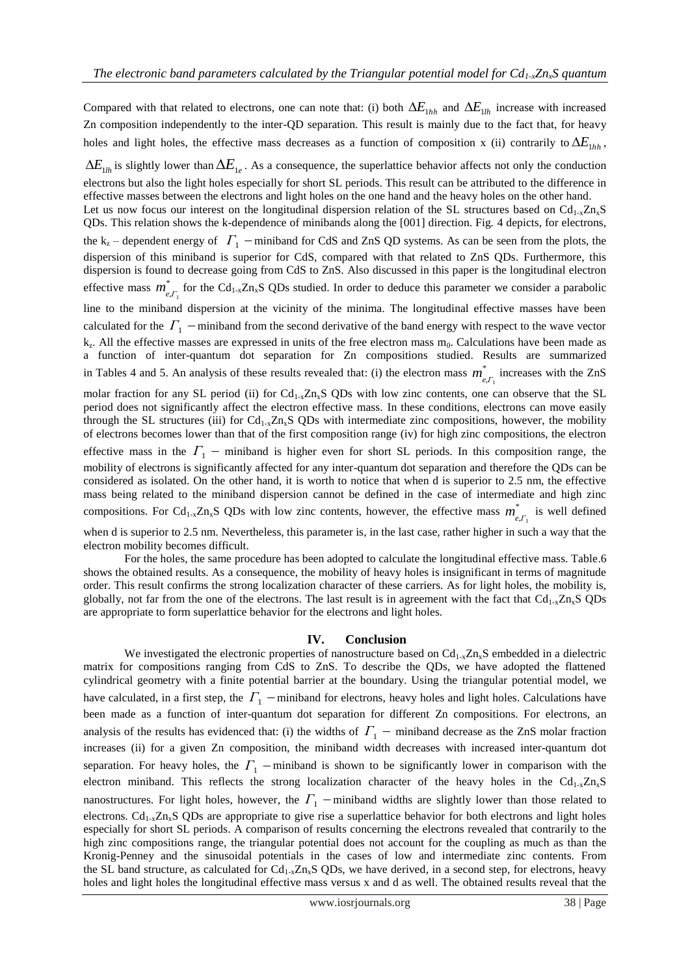Compared with that related to electrons, one can note that: (i) both  $\Delta E_{1hh}$  and  $\Delta E_{1lh}$  increase with increased Zn composition independently to the inter-QD separation. This result is mainly due to the fact that, for heavy holes and light holes, the effective mass decreases as a function of composition x (ii) contrarily to  $\Delta E$ <sub>1*hh*</sub>,

 $\Delta E$ <sub>1*lh*</sub> is slightly lower than  $\Delta E$ <sub>1*e*</sub>. As a consequence, the superlattice behavior affects not only the conduction electrons but also the light holes especially for short SL periods. This result can be attributed to the difference in

effective masses between the electrons and light holes on the one hand and the heavy holes on the other hand. Let us now focus our interest on the longitudinal dispersion relation of the SL structures based on  $Cd_{1-x}Zn_{x}S$ QDs. This relation shows the k-dependence of minibands along the [001] direction. Fig. 4 depicts, for electrons, the  $k_z$  – dependent energy of  $\Gamma_1$  – miniband for CdS and ZnS QD systems. As can be seen from the plots, the dispersion of this miniband is superior for CdS, compared with that related to ZnS QDs. Furthermore, this dispersion is found to decrease going from CdS to ZnS. Also discussed in this paper is the longitudinal electron effective mass  $m^*$  $m_{e,\Gamma_1}^*$  for the Cd<sub>1-x</sub>Zn<sub>x</sub>S QDs studied. In order to deduce this parameter we consider a parabolic line to the miniband dispersion at the vicinity of the minima. The longitudinal effective masses have been calculated for the  $\Gamma_1$  -miniband from the second derivative of the band energy with respect to the wave vector k<sub>z</sub>. All the effective masses are expressed in units of the free electron mass m<sub>0</sub>. Calculations have been made as

a function of inter-quantum dot separation for Zn compositions studied. Results are summarized in Tables 4 and 5. An analysis of these results revealed that: (i) the electron mass  $m^*$  $m_{e,\Gamma_1}^*$  increases with the ZnS

molar fraction for any SL period (ii) for  $Cd_{1-x}Zn_xS$  QDs with low zinc contents, one can observe that the SL period does not significantly affect the electron effective mass. In these conditions, electrons can move easily through the SL structures (iii) for  $Cd_{1-x}Zn_xS$  QDs with intermediate zinc compositions, however, the mobility of electrons becomes lower than that of the first composition range (iv) for high zinc compositions, the electron effective mass in the  $\Gamma_1$  – miniband is higher even for short SL periods. In this composition range, the mobility of electrons is significantly affected for any inter-quantum dot separation and therefore the QDs can be considered as isolated. On the other hand, it is worth to notice that when d is superior to 2.5 nm, the effective mass being related to the miniband dispersion cannot be defined in the case of intermediate and high zinc compositions. For Cd<sub>1-x</sub>Zn<sub>x</sub>S QDs with low zinc contents, however, the effective mass  $m^*$  $m_{e,\Gamma_1}^*$  is well defined

when d is superior to 2.5 nm. Nevertheless, this parameter is, in the last case, rather higher in such a way that the electron mobility becomes difficult.

For the holes, the same procedure has been adopted to calculate the longitudinal effective mass. Table.6 shows the obtained results. As a consequence, the mobility of heavy holes is insignificant in terms of magnitude order. This result confirms the strong localization character of these carriers. As for light holes, the mobility is, globally, not far from the one of the electrons. The last result is in agreement with the fact that  $Cd_{1-x}Zn_xS$  QDs are appropriate to form superlattice behavior for the electrons and light holes.

### **IV. Conclusion**

We investigated the electronic properties of nanostructure based on  $Cd_{1-x}Zn_xS$  embedded in a dielectric matrix for compositions ranging from CdS to ZnS. To describe the QDs, we have adopted the flattened cylindrical geometry with a finite potential barrier at the boundary. Using the triangular potential model, we have calculated, in a first step, the  $\Gamma_1$  –miniband for electrons, heavy holes and light holes. Calculations have been made as a function of inter-quantum dot separation for different Zn compositions. For electrons, an analysis of the results has evidenced that: (i) the widths of  $\Gamma_1$  – miniband decrease as the ZnS molar fraction increases (ii) for a given Zn composition, the miniband width decreases with increased inter-quantum dot separation. For heavy holes, the  $\Gamma_1$  -miniband is shown to be significantly lower in comparison with the electron miniband. This reflects the strong localization character of the heavy holes in the Cd<sub>1-x</sub>Zn<sub>x</sub>S nanostructures. For light holes, however, the  $\Gamma_1$  -miniband widths are slightly lower than those related to electrons.  $Cd_{1-x}Zn_xS$  QDs are appropriate to give rise a superlattice behavior for both electrons and light holes especially for short SL periods. A comparison of results concerning the electrons revealed that contrarily to the high zinc compositions range, the triangular potential does not account for the coupling as much as than the Kronig-Penney and the sinusoidal potentials in the cases of low and intermediate zinc contents. From the SL band structure, as calculated for  $Cd_{1-x}Zn_xS$  QDs, we have derived, in a second step, for electrons, heavy holes and light holes the longitudinal effective mass versus x and d as well. The obtained results reveal that the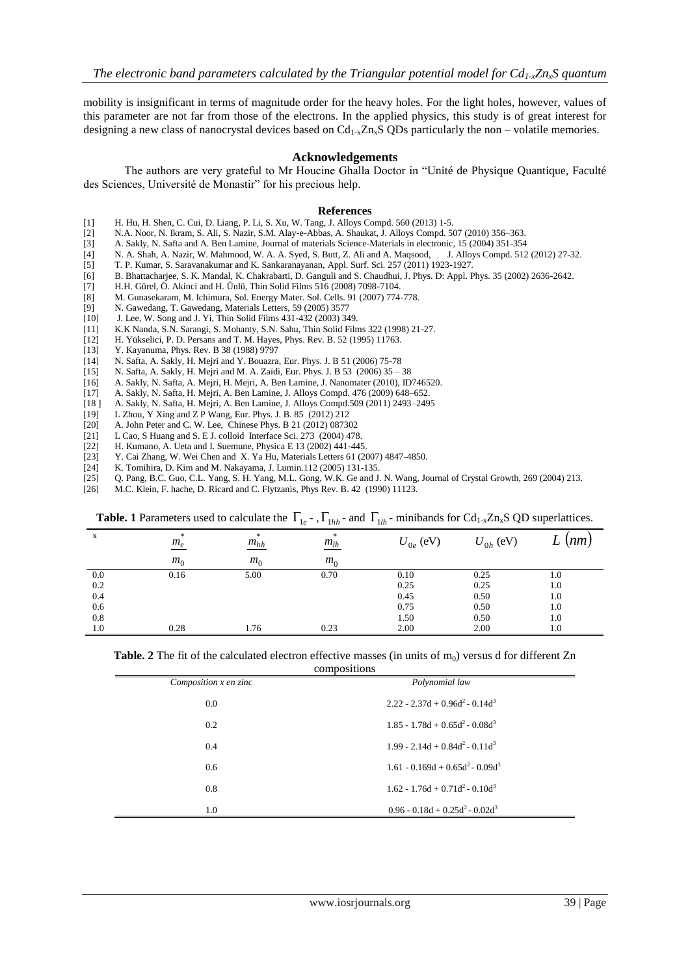mobility is insignificant in terms of magnitude order for the heavy holes. For the light holes, however, values of this parameter are not far from those of the electrons. In the applied physics, this study is of great interest for designing a new class of nanocrystal devices based on  $Cd_{1-x}Zn_xS$  QDs particularly the non – volatile memories.

## **Acknowledgements**

The authors are very grateful to Mr Houcine Ghalla Doctor in "Unité de Physique Quantique, Faculté des Sciences, Université de Monastir" for his precious help.

#### **References**

- [1] H. Hu, H. Shen, C. Cui, D. Liang, P. Li, S. Xu, W. Tang, J. Alloys Compd. 560 (2013) 1-5.
- [2] N.A. Noor, N. Ikram, S. Ali, S. Nazir, S.M. Alay-e-Abbas, A. Shaukat, J. Alloys Compd. 507 (2010) 356–363.
- [3] A. Sakly, N. Safta and A. Ben Lamine, Journal of materials Science-Materials in electronic, 15 (2004) 351-354
- [4] N. A. Shah, A. Nazir, W. Mahmood, W. A. A. Syed, S. Butt, Z. Ali and A. Maqsood, J. Alloys Compd. 512 (2012) 27-32.
- [5] T. P. Kumar, S. Saravanakumar and K. Sankaranayanan, Appl. Surf. Sci. 257 (2011) 1923-1927.
- [6] B. Bhattacharjee, S. K. Mandal, K. Chakrabarti, D. Ganguli and S. Chaudhui, J. Phys. D: Appl. Phys. 35 (2002) 2636-2642.
- [7] H.H. Gürel, Ö. Akinci and H. Ünlü, Thin Solid Films 516 (2008) 7098-7104.
- [8] M. Gunasekaram, M. Ichimura, Sol. Energy Mater. Sol. Cells. 91 (2007) 774-778.
- [9] N. Gawedang, T. Gawedang, Materials Letters, 59 (2005) 3577<br>[10] J. Lee, W. Song and J. Yi, Thin Solid Films 431-432 (2003) 34
- J. Lee, W. Song and J. Yi, Thin Solid Films 431-432 (2003) 349.
- [11] K.K Nanda, S.N. Sarangi, S. Mohanty, S.N. Sahu, Thin Solid Films 322 (1998) 21-27.
- [12] H. Yükselici, P. D. Persans and T. M. Hayes, Phys. Rev. B. 52 (1995) 11763.
- [13] Y. Kayanuma, Phys. Rev. B 38 (1988) 9797
- [14] N. Safta, A. Sakly, H. Mejri and Y. Bouazra, Eur. Phys. J. B 51 (2006) 75-78
- [15] N. Safta, A. Sakly, H. Mejri and M. A. Zaïdi, Eur. Phys. J. B 53 (2006) 35 38
- [16] A. Sakly, N. Safta, A. Mejri, H. Mejri, A. Ben Lamine, J. Nanomater (2010), ID746520.
- [17] A. Sakly, N. Safta, H. Mejri, A. Ben Lamine, J. Alloys Compd. 476 (2009) 648–652.
- [18 ] A. Sakly, N. Safta, H. Mejri, A. Ben Lamine, J. Alloys Compd.509 (2011) 2493–2495
- [19] L Zhou, Y Xing and Z P Wang, Eur. Phys. J. B. 85 (2012) 212
- [20] A. John Peter and C. W. Lee, Chinese Phys. B 21 (2012) 087302
- L Cao, S Huang and S. E J. colloid Interface Sci. 273 (2004) 478.
- [22] H. Kumano, A. Ueta and I. Suemune, Physica E 13 (2002) 441-445.
- [23] Y. Cai Zhang, W. Wei Chen and X. Ya Hu, Materials Letters 61 (2007) 4847-4850.<br>[24] K. Tomihira, D. Kim and M. Nakayama, J. Lumin.112 (2005) 131-135.
- [24] K. Tomihira, D. Kim and M. Nakayama, J. Lumin.112 (2005) 131-135.<br>[25] O. Pang, B.C. Guo, C.L. Yang, S. H. Yang, M.L. Gong, W.K. Ge and J
- [25] Q. Pang, B.C. Guo, C.L. Yang, S. H. Yang, M.L. Gong, W.K. Ge and J. N. Wang, Journal of Crystal Growth, 269 (2004) 213.
- [26] M.C. Klein, F. hache, D. Ricard and C. Flytzanis, Phys Rev. B. 42 (1990) 11123.

|     | <b>Table.</b> The admitted as to calculate the $\mathbf{r}_{1e}$ , $\mathbf{r}_{1hh}$ and $\mathbf{r}_{1lh}$ immodiates for $\mathbf{c}_{1-x}$ $\mathbf{r}_{1hx}$ $\mathbf{v}_{2h}$ superfactors. |                |                |               |               |      |
|-----|---------------------------------------------------------------------------------------------------------------------------------------------------------------------------------------------------|----------------|----------------|---------------|---------------|------|
| X   | *<br>$m_e$                                                                                                                                                                                        | *<br>$m_{hh}$  | *<br>$m_{lh}$  | $U_{0e}$ (eV) | $U_{0h}$ (eV) | (nm) |
|     | m <sub>0</sub>                                                                                                                                                                                    | m <sub>0</sub> | m <sub>0</sub> |               |               |      |
| 0.0 | 0.16                                                                                                                                                                                              | 5.00           | 0.70           | 0.10          | 0.25          | 1.0  |
| 0.2 |                                                                                                                                                                                                   |                |                | 0.25          | 0.25          | 1.0  |
| 0.4 |                                                                                                                                                                                                   |                |                | 0.45          | 0.50          | 1.0  |
| 0.6 |                                                                                                                                                                                                   |                |                | 0.75          | 0.50          | 1.0  |
| 0.8 |                                                                                                                                                                                                   |                |                | 1.50          | 0.50          | 1.0  |
| 1.0 | 0.28                                                                                                                                                                                              | 1.76           | 0.23           | 2.00          | 2.00          | 1.0  |

**Table. 1** Parameters used to calculate the  $\Gamma_{1e}$  - ,  $\Gamma_{1hh}$  and  $\Gamma_{1lh}$  - minibands for Cd<sub>1-x</sub>Zn<sub>x</sub>S QD superlattices.

**Table. 2** The fit of the calculated electron effective masses (in units of  $m_0$ ) versus d for different Zn

| compositions          |                                        |  |  |  |  |
|-----------------------|----------------------------------------|--|--|--|--|
| Composition x en zinc | Polynomial law                         |  |  |  |  |
| 0.0                   | $2.22 - 2.37d + 0.96d^2 - 0.14d^3$     |  |  |  |  |
| 0.2                   | $1.85 - 1.78d + 0.65d^2 - 0.08d^3$     |  |  |  |  |
| 0.4                   | $1.99 - 2.14d + 0.84d^{2} - 0.11d^{3}$ |  |  |  |  |
| 0.6                   | $1.61 - 0.169d + 0.65d^2 - 0.09d^3$    |  |  |  |  |
| 0.8                   | $1.62 - 1.76d + 0.71d^2 - 0.10d^3$     |  |  |  |  |
| 1.0                   | $0.96 - 0.18d + 0.25d^2 - 0.02d^3$     |  |  |  |  |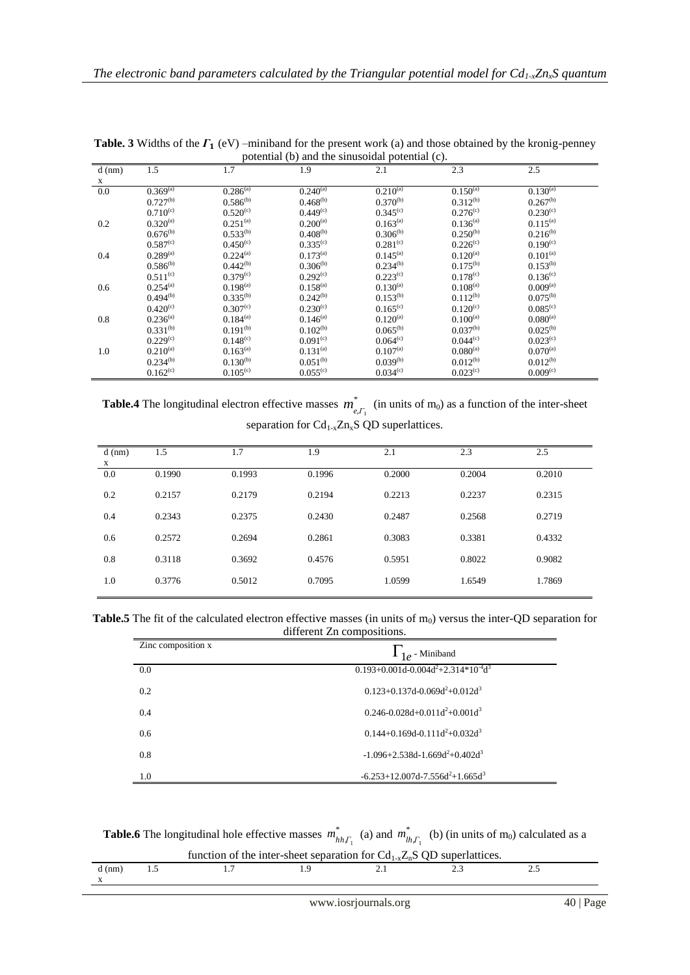| $d$ (nm)    | 1.5                  | 1.7                  | 1.9                  | 2.1                  | 2.3                  | 2.5                      |  |
|-------------|----------------------|----------------------|----------------------|----------------------|----------------------|--------------------------|--|
| $\mathbf x$ |                      |                      |                      |                      |                      |                          |  |
| 0.0         | $0.369^{(a)}$        | $0.286^{(a)}$        | $0.240^{(a)}$        | $0.210^{(a)}$        | $0.150^{(a)}$        | $0.1\overline{30^{(a)}}$ |  |
|             | $0.727^{(b)}$        | $0.586^{(b)}$        | $0.468^{(b)}$        | $0.370^{(b)}$        | $0.312^{(b)}$        | $0.267^{(b)}$            |  |
|             | $0.710^{(c)}$        | $0.520^{(c)}$        | 0.449 <sup>(c)</sup> | 0.345 <sup>(c)</sup> | $0.276^{(c)}$        | $0.230^{(c)}$            |  |
| 0.2         | $0.320^{(a)}$        | $0.251^{(a)}$        | $0.200^{(a)}$        | $0.163^{(a)}$        | $0.136^{(a)}$        | $0.115^{(a)}$            |  |
|             | $0.676^{(b)}$        | $0.533^{(b)}$        | $0.408^{(b)}$        | $0.306^{(b)}$        | $0.250^{(b)}$        | $0.216^{(b)}$            |  |
|             | 0.587 <sup>(c)</sup> | $0.450^{(c)}$        | 0.335 <sup>(c)</sup> | $0.281^{(c)}$        | $0.226^{(c)}$        | $0.190^{(c)}$            |  |
| 0.4         | $0.289^{(a)}$        | $0.224^{(a)}$        | $0.173^{(a)}$        | $0.145^{(a)}$        | $0.120^{(a)}$        | $0.101^{(a)}$            |  |
|             | $0.586^{(b)}$        | $0.442^{(b)}$        | $0.306^{(b)}$        | $0.234^{(b)}$        | $0.175^{(b)}$        | $0.153^{(b)}$            |  |
|             | $0.511^{(c)}$        | 0.379 <sup>(c)</sup> | 0.292 <sup>(c)</sup> | $0.223^{(c)}$        | $0.178^{(c)}$        | $0.136^{(c)}$            |  |
| 0.6         | $0.254^{(a)}$        | $0.198^{(a)}$        | $0.158^{(a)}$        | $0.130^{(a)}$        | $0.108^{(a)}$        | $0.009^{(a)}$            |  |
|             | $0.494^{(b)}$        | $0.335^{(b)}$        | $0.242^{(b)}$        | $0.153^{(b)}$        | $0.112^{(b)}$        | $0.075^{(b)}$            |  |
|             | $0.420^{(c)}$        | 0.307 <sup>(c)</sup> | $0.230^{(c)}$        | 0.165 <sup>(c)</sup> | $0.120^{(c)}$        | 0.085 <sup>(c)</sup>     |  |
| 0.8         | $0.236^{(a)}$        | $0.184^{(a)}$        | $0.146^{(a)}$        | $0.120^{(a)}$        | $0.100^{(a)}$        | $0.080^{(a)}$            |  |
|             | $0.331^{(b)}$        | $0.191^{(b)}$        | $0.102^{(b)}$        | $0.065^{(b)}$        | $0.037^{(b)}$        | $0.025^{(b)}$            |  |
|             | 0.229 <sup>(c)</sup> | $0.148^{(c)}$        | 0.091 <sup>(c)</sup> | 0.064 <sup>(c)</sup> | 0.044 <sup>(c)</sup> | $0.023^{(c)}$            |  |
| 1.0         | $0.210^{(a)}$        | $0.163^{(a)}$        | $0.131^{(a)}$        | $0.107^{(a)}$        | $0.080^{(a)}$        | $0.070^{(a)}$            |  |
|             | $0.234^{(b)}$        | $0.130^{(b)}$        | $0.051^{(b)}$        | $0.039^{(b)}$        | $0.012^{(b)}$        | $0.012^{(b)}$            |  |
|             | $0.162^{(c)}$        | 0.105 <sup>(c)</sup> | 0.055 <sup>(c)</sup> | $0.034^{(c)}$        | $0.023^{\rm (c)}$    | 0.009 <sup>(c)</sup>     |  |

**Table. 3** Widths of the  $\Gamma_1$  (eV) –miniband for the present work (a) and those obtained by the kronig-penney potential (b) and the sinusoidal potential (c).

Table.4 The longitudinal electron effective masses  $m^*$  $m_{e,\Gamma_1}^*$  (in units of m<sub>0</sub>) as a function of the inter-sheet separation for  $Cd_{1-x}Zn_xS$  QD superlattices.

| $d$ (nm)<br>X | 1.5    | 1.7    | 1.9    | 2.1    | 2.3    | 2.5    |
|---------------|--------|--------|--------|--------|--------|--------|
| 0.0           | 0.1990 | 0.1993 | 0.1996 | 0.2000 | 0.2004 | 0.2010 |
| 0.2           | 0.2157 | 0.2179 | 0.2194 | 0.2213 | 0.2237 | 0.2315 |
| 0.4           | 0.2343 | 0.2375 | 0.2430 | 0.2487 | 0.2568 | 0.2719 |
| 0.6           | 0.2572 | 0.2694 | 0.2861 | 0.3083 | 0.3381 | 0.4332 |
| 0.8           | 0.3118 | 0.3692 | 0.4576 | 0.5951 | 0.8022 | 0.9082 |
| 1.0           | 0.3776 | 0.5012 | 0.7095 | 1.0599 | 1.6549 | 1.7869 |

Table.5 The fit of the calculated electron effective masses (in units of m<sub>0</sub>) versus the inter-QD separation for different Zn compositions.

| Zinc composition x | $\Gamma_{1e}$ - Miniband                         |
|--------------------|--------------------------------------------------|
| 0.0                | $0.193 + 0.001d - 0.004d^2 + 2.314 * 10^{-4}d^3$ |
| 0.2                | $0.123 + 0.137d - 0.069d^2 + 0.012d^3$           |
| 0.4                | $0.246 - 0.028d + 0.011d^2 + 0.001d^3$           |
| 0.6                | $0.144+0.169d-0.111d^2+0.032d^3$                 |
| 0.8                | $-1.096 + 2.538d - 1.669d^2 + 0.402d^3$          |
| 1.0                | $-6.253+12.007d-7.556d^2+1.665d^3$               |

**Table.6** The longitudinal hole effective masses  $m_k^*$  $m^*_{hh,\Gamma_1}$  (a) and  $m^*_{lh}$  $m_{lh,\Gamma_1}^*$  (b) (in units of m<sub>0</sub>) calculated as a

| function of the inter-sheet separation for $Cd_{1-x}Z_nS$ QD superlattices. |  |  |  |  |  |  |  |
|-----------------------------------------------------------------------------|--|--|--|--|--|--|--|
| d (nm)                                                                      |  |  |  |  |  |  |  |
|                                                                             |  |  |  |  |  |  |  |
|                                                                             |  |  |  |  |  |  |  |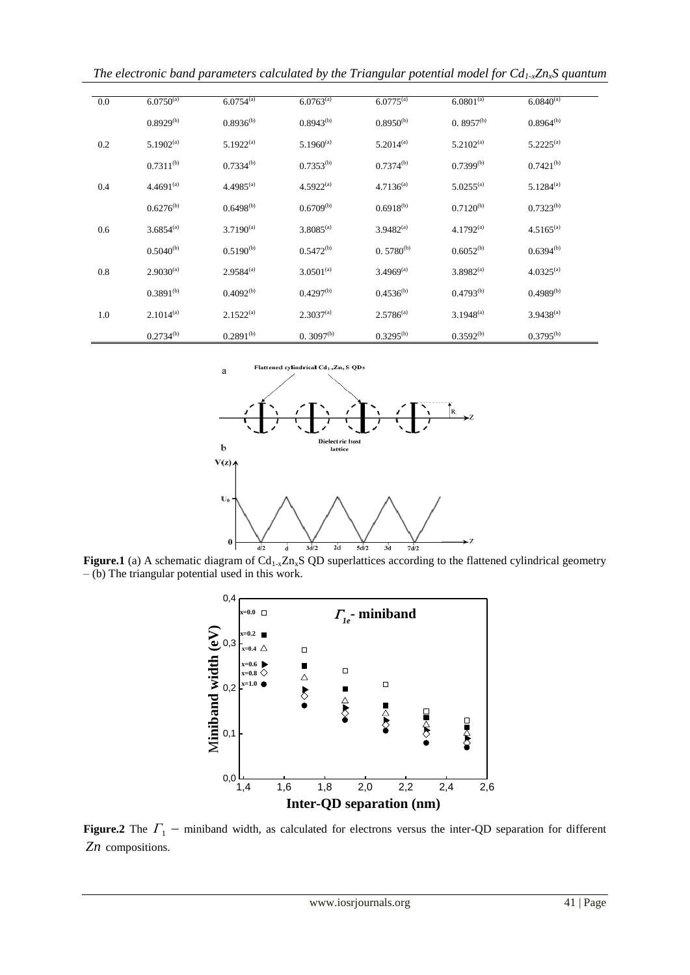*The electronic band parameters calculated by the Triangular potential model for Cd1-xZnxS quantum*

| 0.0 | $6.0750^{(a)}$ | $6.0754^{(a)}$ | $6.0763^{\text{(a)}}$ | $6.0775^{(a)}$ | $6.0801^{(a)}$ | $6.084\overline{0^{(a)}}$ |
|-----|----------------|----------------|-----------------------|----------------|----------------|---------------------------|
|     | $0.8929^{(b)}$ | $0.8936^{(b)}$ | $0.8943^{(b)}$        | $0.8950^{(b)}$ | $0.8957^{(b)}$ | $0.8964^{(b)}$            |
| 0.2 | $5.1902^{(a)}$ | $5.1922^{(a)}$ | $5.1960^{(a)}$        | $5.2014^{(a)}$ | $5.2102^{(a)}$ | $5.2225^{(a)}$            |
|     | $0.7311^{(b)}$ | $0.7334^{(b)}$ | $0.7353^{(b)}$        | $0.7374^{(b)}$ | $0.7399^{(b)}$ | $0.7421^{(b)}$            |
| 0.4 | $4.4691^{(a)}$ | $4.4985^{(a)}$ | $4.5922^{(a)}$        | $4.7136^{(a)}$ | $5.0255^{(a)}$ | $5.1284^{(a)}$            |
|     | $0.6276^{(b)}$ | $0.6498^{(b)}$ | $0.6709^{(b)}$        | $0.6918^{(b)}$ | $0.7120^{(b)}$ | $0.7323^{(b)}$            |
| 0.6 | $3.6854^{(a)}$ | $3.7190^{(a)}$ | $3.8085^{(a)}$        | $3.9482^{(a)}$ | $4.1792^{(a)}$ | $4.5165^{(a)}$            |
|     | $0.5040^{(b)}$ | $0.5190^{(b)}$ | $0.5472^{(b)}$        | $0.5780^{(b)}$ | $0.6052^{(b)}$ | $0.6394^{(b)}$            |
| 0.8 | $2.9030^{(a)}$ | $2.9584^{(a)}$ | $3.0501^{(a)}$        | $3.4969^{(a)}$ | $3.8982^{(a)}$ | $4.0325^{(a)}$            |
|     | $0.3891^{(b)}$ | $0.4092^{(b)}$ | $0.4297^{(b)}$        | $0.4536^{(b)}$ | $0.4793^{(b)}$ | $0.4989^{(b)}$            |
| 1.0 | $2.1014^{(a)}$ | $2.1522^{(a)}$ | $2.3037^{(a)}$        | $2.5786^{(a)}$ | $3.1948^{(a)}$ | $3.9438^{(a)}$            |
|     | $0.2734^{(b)}$ | $0.2891^{(b)}$ | $0.3097^{(b)}$        | $0.3295^{(b)}$ | $0.3592^{(b)}$ | $0.3795^{(b)}$            |



**Figure.1** (a) A schematic diagram of  $Cd_{1-x}Zn_xS$  QD superlattices according to the flattened cylindrical geometry – (b) The triangular potential used in this work.



**Figure.2** The  $\Gamma_1$  – miniband width, as calculated for electrons versus the inter-QD separation for different *Zn* compositions.